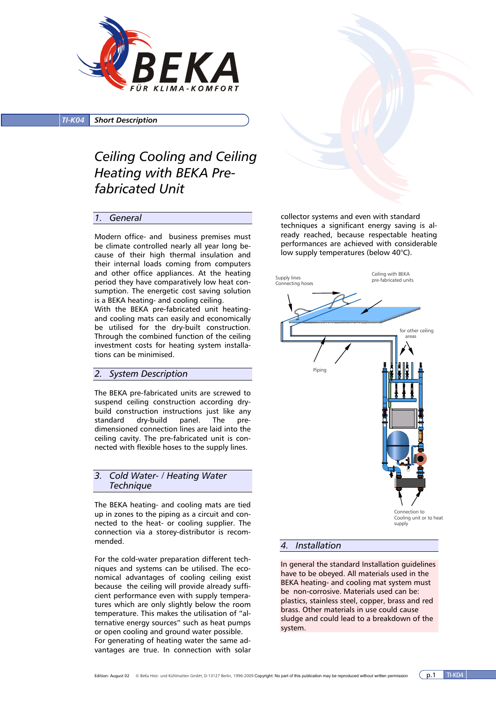

*TI-K04 Short Description*

# *Ceiling Cooling and Ceiling Heating with BEKA Prefabricated Unit*

## *1. General*

Modern office- and business premises must be climate controlled nearly all year long because of their high thermal insulation and their internal loads coming from computers and other office appliances. At the heating period they have comparatively low heat consumption. The energetic cost saving solution is a BEKA heating- and cooling ceiling.

With the BEKA pre-fabricated unit heatingand cooling mats can easily and economically be utilised for the dry-built construction. Through the combined function of the ceiling investment costs for heating system installations can be minimised.

## *2. System Description*

The BEKA pre-fabricated units are screwed to suspend ceiling construction according drybuild construction instructions just like any standard dry-build panel. The predimensioned connection lines are laid into the ceiling cavity. The pre-fabricated unit is connected with flexible hoses to the supply lines.

*3. Cold Water- / Heating Water Technique* 

The BEKA heating- and cooling mats are tied up in zones to the piping as a circuit and connected to the heat- or cooling supplier. The connection via a storey-distributor is recommended.

For the cold-water preparation different techniques and systems can be utilised. The economical advantages of cooling ceiling exist because the ceiling will provide already sufficient performance even with supply temperatures which are only slightly below the room temperature. This makes the utilisation of "alternative energy sources" such as heat pumps or open cooling and ground water possible. For generating of heating water the same advantages are true. In connection with solar

collector systems and even with standard techniques a significant energy saving is already reached, because respectable heating performances are achieved with considerable low supply temperatures (below 40°C).



Cooling unit or to heat supply

#### *4. Installation*

In general the standard Installation guidelines have to be obeyed. All materials used in the BEKA heating- and cooling mat system must be non-corrosive. Materials used can be: plastics, stainless steel, copper, brass and red brass. Other materials in use could cause sludge and could lead to a breakdown of the system.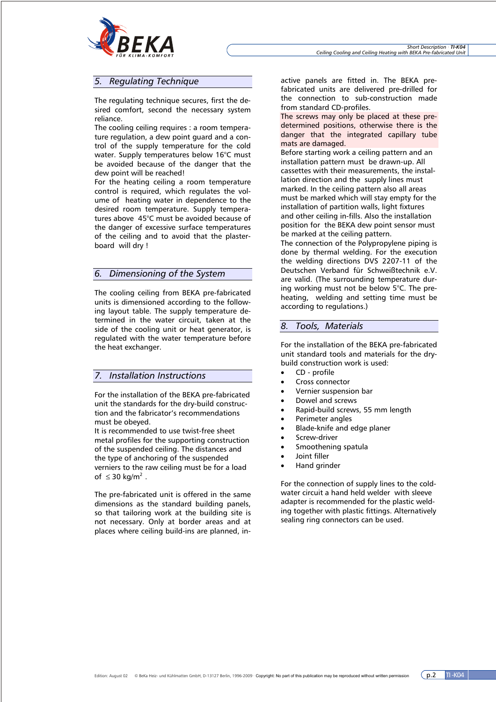

## *5. Regulating Technique*

The regulating technique secures, first the desired comfort, second the necessary system reliance.

The cooling ceiling requires : a room temperature regulation, a dew point guard and a control of the supply temperature for the cold water. Supply temperatures below 16°C must be avoided because of the danger that the dew point will be reached!

For the heating ceiling a room temperature control is required, which regulates the volume of heating water in dependence to the desired room temperature. Supply temperatures above 45°C must be avoided because of the danger of excessive surface temperatures of the ceiling and to avoid that the plasterboard will dry !

#### *6. Dimensioning of the System*

The cooling ceiling from BEKA pre-fabricated units is dimensioned according to the following layout table. The supply temperature determined in the water circuit, taken at the side of the cooling unit or heat generator, is regulated with the water temperature before the heat exchanger.

### *7. Installation Instructions*

For the installation of the BEKA pre-fabricated unit the standards for the dry-build construction and the fabricator's recommendations must be obeyed.

It is recommended to use twist-free sheet metal profiles for the supporting construction of the suspended ceiling. The distances and the type of anchoring of the suspended verniers to the raw ceiling must be for a load of  $\leq$  30 kg/m<sup>2</sup>.

The pre-fabricated unit is offered in the same dimensions as the standard building panels, so that tailoring work at the building site is not necessary. Only at border areas and at places where ceiling build-ins are planned, in-

active panels are fitted in. The BEKA prefabricated units are delivered pre-drilled for the connection to sub-construction made from standard CD-profiles.

The screws may only be placed at these predetermined positions, otherwise there is the danger that the integrated capillary tube mats are damaged.

Before starting work a ceiling pattern and an installation pattern must be drawn-up. All cassettes with their measurements, the installation direction and the supply lines must marked. In the ceiling pattern also all areas must be marked which will stay empty for the installation of partition walls, light fixtures and other ceiling in-fills. Also the installation position for the BEKA dew point sensor must be marked at the ceiling pattern.

The connection of the Polypropylene piping is done by thermal welding. For the execution the welding directions DVS 2207-11 of the Deutschen Verband für Schweißtechnik e.V. are valid. (The surrounding temperature during working must not be below 5°C. The preheating, welding and setting time must be according to regulations.)

#### *8. Tools, Materials*

For the installation of the BEKA pre-fabricated unit standard tools and materials for the drybuild construction work is used:

- CD profile
- Cross connector
- Vernier suspension bar
- Dowel and screws
- Rapid-build screws, 55 mm length
- Perimeter angles
- Blade-knife and edge planer
- Screw-driver
- Smoothening spatula
- Joint filler
- Hand grinder

For the connection of supply lines to the coldwater circuit a hand held welder with sleeve adapter is recommended for the plastic welding together with plastic fittings. Alternatively sealing ring connectors can be used.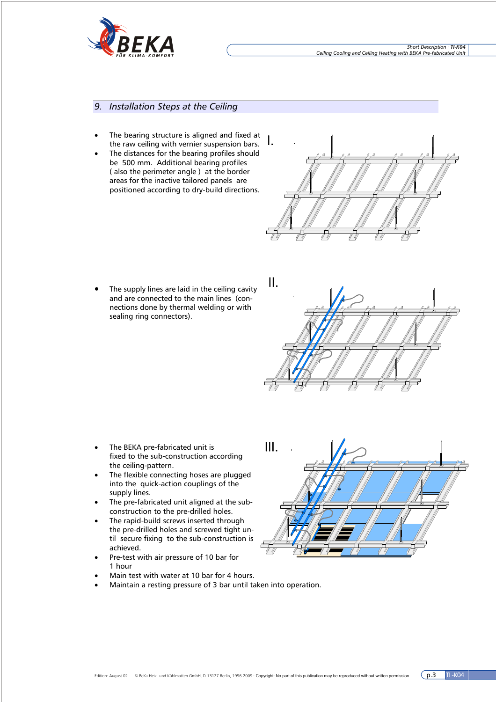

## *9. Installation Steps at the Ceiling*

- The bearing structure is aligned and fixed at the raw ceiling with vernier suspension bars.
- The distances for the bearing profiles should be 500 mm. Additional bearing profiles ( also the perimeter angle ) at the border areas for the inactive tailored panels are positioned according to dry-build directions.



The supply lines are laid in the ceiling cavity and are connected to the main lines (connections done by thermal welding or with sealing ring connectors).



- The BEKA pre-fabricated unit is fixed to the sub-construction according the ceiling-pattern.
- The flexible connecting hoses are plugged into the quick-action couplings of the supply lines.
- The pre-fabricated unit aligned at the subconstruction to the pre-drilled holes.
- The rapid-build screws inserted through the pre-drilled holes and screwed tight until secure fixing to the sub-construction is achieved.
- Pre-test with air pressure of 10 bar for 1 hour
- Main test with water at 10 bar for 4 hours.
- Maintain a resting pressure of 3 bar until taken into operation.

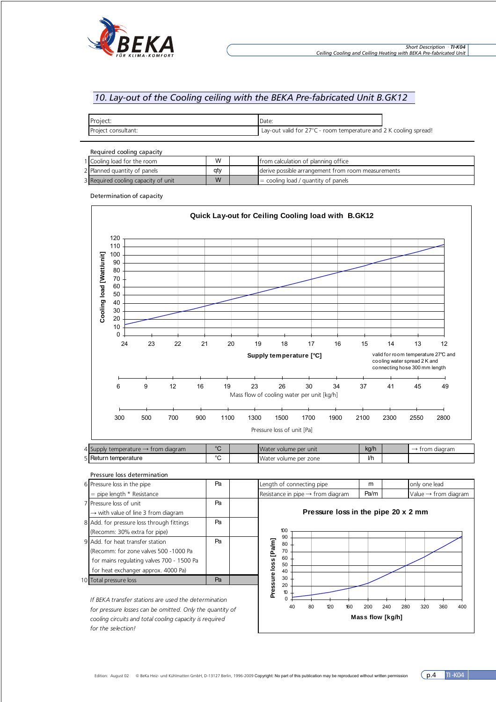

# *10. Lay-out of the Cooling ceiling with the BEKA Pre-fabricated Unit B.GK12*

| Project:            | Date:                                                             |  |
|---------------------|-------------------------------------------------------------------|--|
| Project consultant: | Lay-out valid for 27°C - room temperature and 2 K cooling spread! |  |

Required cooling capacity

| 1 Cooling load for the room         | W   | I trom calculation of planning office                |
|-------------------------------------|-----|------------------------------------------------------|
| 2 Planned quantity of panels        | atv | I derive possible arrangement from room measurements |
| 3 Required cooling capacity of unit | W   | $\vert$ = cooling load / quantity of panels          |

Determination of capacity



| Pressure loss determination                             |    |  |                                               |    |     |     |      |               |                                  |            |  |
|---------------------------------------------------------|----|--|-----------------------------------------------|----|-----|-----|------|---------------|----------------------------------|------------|--|
| 6 Pressure loss in the pipe                             | Pa |  | Length of connecting pipe                     |    |     | m   |      | only one lead |                                  |            |  |
| $=$ pipe length $*$ Resistance                          |    |  | Resistance in pipe $\rightarrow$ from diagram |    |     |     | Pa/m |               | Value $\rightarrow$ from diagram |            |  |
| 7 Pressure loss of unit                                 | Pa |  | Pressure loss in the pipe 20 x 2 mm           |    |     |     |      |               |                                  |            |  |
| $\rightarrow$ with value of line 3 from diagram         |    |  |                                               |    |     |     |      |               |                                  |            |  |
| 8 Add. for pressure loss through fittings               | Pa |  |                                               |    |     |     |      |               |                                  |            |  |
| (Recomm: 30% extra for pipe)                            |    |  | 100                                           |    |     |     |      |               |                                  |            |  |
| 9 Add, for heat transfer station                        | Pa |  | 90<br>80                                      |    |     |     |      |               |                                  |            |  |
| (Recomm: for zone valves 500 -1000 Pa                   |    |  | 70                                            |    |     |     |      |               |                                  |            |  |
| for mains regulating valves 700 - 1500 Pa               |    |  | 60<br>50                                      |    |     |     |      |               |                                  |            |  |
| for heat exchanger approx. 4000 Pa)                     |    |  | 40                                            |    |     |     |      |               |                                  |            |  |
| 10 Total pressure loss                                  | Pa |  | Pressure loss [Pa/m]<br>30<br>20              |    |     |     |      |               |                                  |            |  |
|                                                         |    |  | 10                                            |    |     |     |      |               |                                  |            |  |
| If BEKA transfer stations are used the determination    |    |  |                                               |    |     |     |      |               |                                  |            |  |
| for processes locate can be amitted Onlithe quantity of |    |  | 40                                            | 80 | 120 | 160 | 200  | 240<br>280    | 320                              | 360<br>400 |  |

*for pressure losses can be omitted. Only the quantity of cooling circuits and total cooling capacity is required for the selection!*

**Mass flow [kg/h]**